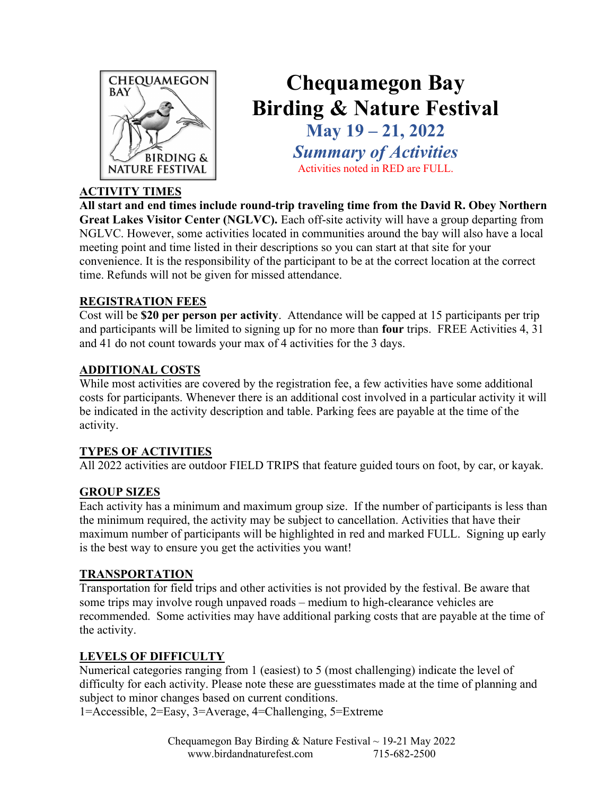

### Chequamegon Bay Birding & Nature Festival May 19 – 21, 2022 Summary of Activities Activities noted in RED are FULL.

### ACTIVITY TIMES

All start and end times include round-trip traveling time from the David R. Obey Northern Great Lakes Visitor Center (NGLVC). Each off-site activity will have a group departing from NGLVC. However, some activities located in communities around the bay will also have a local meeting point and time listed in their descriptions so you can start at that site for your convenience. It is the responsibility of the participant to be at the correct location at the correct time. Refunds will not be given for missed attendance.

### REGISTRATION FEES

Cost will be \$20 per person per activity. Attendance will be capped at 15 participants per trip and participants will be limited to signing up for no more than four trips. FREE Activities 4, 31 and 41 do not count towards your max of 4 activities for the 3 days.

### ADDITIONAL COSTS

While most activities are covered by the registration fee, a few activities have some additional costs for participants. Whenever there is an additional cost involved in a particular activity it will be indicated in the activity description and table. Parking fees are payable at the time of the activity.

### TYPES OF ACTIVITIES

All 2022 activities are outdoor FIELD TRIPS that feature guided tours on foot, by car, or kayak.

### GROUP SIZES

Each activity has a minimum and maximum group size. If the number of participants is less than the minimum required, the activity may be subject to cancellation. Activities that have their maximum number of participants will be highlighted in red and marked FULL. Signing up early is the best way to ensure you get the activities you want!

### TRANSPORTATION

Transportation for field trips and other activities is not provided by the festival. Be aware that some trips may involve rough unpaved roads – medium to high-clearance vehicles are recommended. Some activities may have additional parking costs that are payable at the time of the activity.

### LEVELS OF DIFFICULTY

Numerical categories ranging from 1 (easiest) to 5 (most challenging) indicate the level of difficulty for each activity. Please note these are guesstimates made at the time of planning and subject to minor changes based on current conditions.

1=Accessible, 2=Easy, 3=Average, 4=Challenging, 5=Extreme

Chequamegon Bay Birding & Nature Festival  $\sim$  19-21 May 2022 www.birdandnaturefest.com 715-682-2500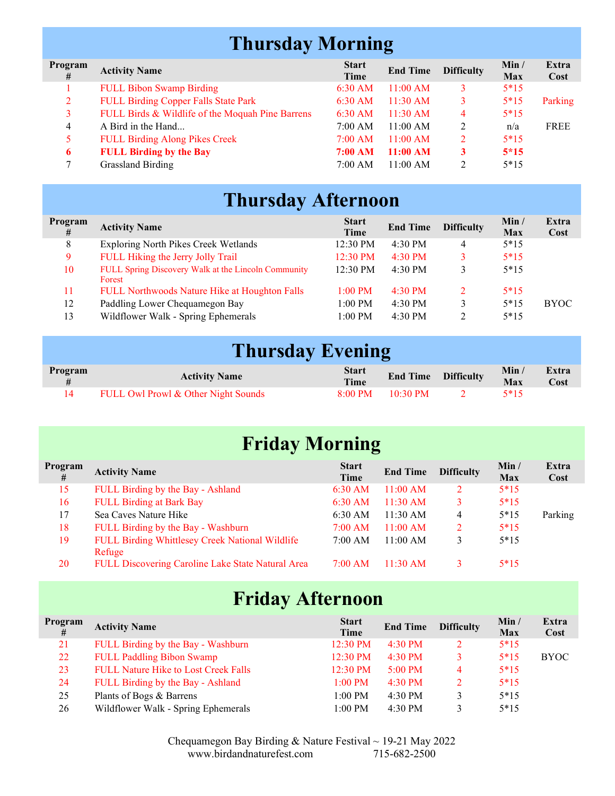# Thursday Morning

| Program<br># | <b>Activity Name</b>                             | <b>Start</b><br>Time | <b>End Time</b>    | <b>Difficulty</b> | Min /<br><b>Max</b> | Extra<br>Cost |
|--------------|--------------------------------------------------|----------------------|--------------------|-------------------|---------------------|---------------|
|              | <b>FULL Bibon Swamp Birding</b>                  | $6:30$ AM            | 11:00 AM           |                   | $5*15$              |               |
| 2            | <b>FULL Birding Copper Falls State Park</b>      | $6:30$ AM            | $11:30 \text{ AM}$ |                   | $5*15$              | Parking       |
| 3            | FULL Birds & Wildlife of the Moquah Pine Barrens | $6:30$ AM            | 11:30 AM           | 4                 | $5*15$              |               |
| 4            | A Bird in the Hand                               | 7:00 AM              | 11:00 AM           |                   | n/a                 | <b>FREE</b>   |
|              | <b>FULL Birding Along Pikes Creek</b>            | $7:00 \text{ AM}$    | 11:00 AM           |                   | $5*15$              |               |
| 6            | <b>FULL Birding by the Bay</b>                   | 7:00 AM              | 11:00 AM           |                   | $5*15$              |               |
|              | <b>Grassland Birding</b>                         | 7:00 AM              | 11:00 AM           |                   | $5*15$              |               |

# Thursday Afternoon

| Program<br># | <b>Activity Name</b>                                          | <b>Start</b><br>Time | <b>End Time</b>   | <b>Difficulty</b> | Min /<br>Max | Extra<br>Cost |
|--------------|---------------------------------------------------------------|----------------------|-------------------|-------------------|--------------|---------------|
| 8            | Exploring North Pikes Creek Wetlands                          | 12:30 PM             | 4:30 PM           | 4                 | $5*15$       |               |
| 9            | FULL Hiking the Jerry Jolly Trail                             | $12:30 \text{ PM}$   | $4:30$ PM         | 3                 | $5*15$       |               |
| 10           | FULL Spring Discovery Walk at the Lincoln Community<br>Forest | $12:30 \text{ PM}$   | $4:30 \text{ PM}$ | 3                 | $5*15$       |               |
| 11           | FULL Northwoods Nature Hike at Houghton Falls                 | $1:00$ PM            | $4:30$ PM         | 2                 | $5*15$       |               |
| 12           | Paddling Lower Chequamegon Bay                                | $1:00$ PM            | 4:30 PM           |                   | $5*15$       | <b>BYOC</b>   |
| 13           | Wildflower Walk - Spring Ephemerals                           | $1:00$ PM            | 4:30 PM           | 2                 | $5*15$       |               |

## Thursday Evening

| Program | <b>Activity Name</b>                | <b>Start</b><br>Time | <b>End Time Difficulty</b> | Min/<br><b>Max</b> | Extra<br>Cost |
|---------|-------------------------------------|----------------------|----------------------------|--------------------|---------------|
|         | FULL Owl Prowl & Other Night Sounds | $8:00 \text{ PM}$    | $10:30 \text{ PM}$         | 5*15               |               |

# Friday Morning

| Program<br># | <b>Activity Name</b>                              | <b>Start</b><br>Time | <b>End Time</b>    | <b>Difficulty</b> | Min /<br>Max | Extra<br>Cost |
|--------------|---------------------------------------------------|----------------------|--------------------|-------------------|--------------|---------------|
| 15           | FULL Birding by the Bay - Ashland                 | $6:30$ AM            | 11:00 AM           |                   | $5*15$       |               |
| 16           | <b>FULL Birding at Bark Bay</b>                   | $6:30$ AM            | 11:30 AM           |                   | $5*15$       |               |
| 17           | Sea Caves Nature Hike                             | 6:30 AM              | 11:30 AM           | 4                 | $5*15$       | Parking       |
| 18           | FULL Birding by the Bay - Washburn                | $7:00 \text{ AM}$    | 11:00 AM           | 2                 | $5*15$       |               |
| 19           | FULL Birding Whittlesey Creek National Wildlife   | 7:00 AM              | 11:00 AM           | 3                 | $5*15$       |               |
|              | Refuge                                            |                      |                    |                   |              |               |
| 20           | FULL Discovering Caroline Lake State Natural Area | $7:00 \text{ AM}$    | $11:30 \text{ AM}$ |                   | $5*15$       |               |

# Friday Afternoon

| Program<br># | <b>Activity Name</b>                        | <b>Start</b><br>Time | <b>End Time</b>   | <b>Difficulty</b> | Min /<br>Max | Extra<br>Cost |
|--------------|---------------------------------------------|----------------------|-------------------|-------------------|--------------|---------------|
| 21           | FULL Birding by the Bay - Washburn          | 12:30 PM             | $4:30 \text{ PM}$ |                   | $5*15$       |               |
| 22           | <b>FULL Paddling Bibon Swamp</b>            | 12:30 PM             | $4:30$ PM         |                   | $5*15$       | <b>BYOC</b>   |
| 23           | <b>FULL Nature Hike to Lost Creek Falls</b> | $12:30 \text{ PM}$   | $5:00 \text{ PM}$ | 4                 | $5*15$       |               |
| 24           | FULL Birding by the Bay - Ashland           | $1:00$ PM            | $4:30 \text{ PM}$ |                   | $5*15$       |               |
| 25           | Plants of Bogs & Barrens                    | $1:00$ PM            | $4:30$ PM         |                   | $5*15$       |               |
| 26           | Wildflower Walk - Spring Ephemerals         | $1:00$ PM            | $4:30 \text{ PM}$ |                   | $5*15$       |               |

Chequamegon Bay Birding & Nature Festival  $\sim$  19-21 May 2022 www.birdandnaturefest.com 715-682-2500